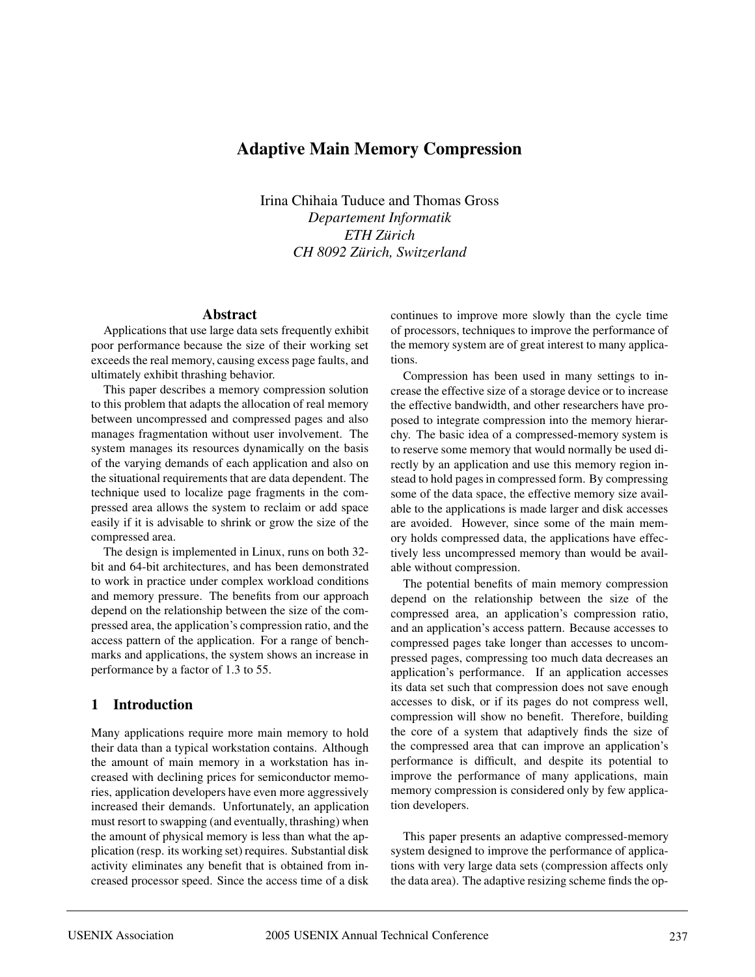# **Adaptive Main Memory Compression**

Irina Chihaia Tuduce and Thomas Gross *Departement Informatik ETH Zurich ¨ CH 8092 Zurich, Switzerland ¨*

#### **Abstract**

Applications that use large data sets frequently exhibit poor performance because the size of their working set exceeds the real memory, causing excess page faults, and ultimately exhibit thrashing behavior.

This paper describes a memory compression solution to this problem that adapts the allocation of real memory between uncompressed and compressed pages and also manages fragmentation without user involvement. The system manages its resources dynamically on the basis of the varying demands of each application and also on the situational requirements that are data dependent. The technique used to localize page fragments in the compressed area allows the system to reclaim or add space easily if it is advisable to shrink or grow the size of the compressed area.

The design is implemented in Linux, runs on both 32 bit and 64-bit architectures, and has been demonstrated to work in practice under complex workload conditions and memory pressure. The benefits from our approach depend on the relationship between the size of the compressed area, the application's compression ratio, and the access pattern of the application. For a range of benchmarks and applications, the system shows an increase in performance by a factor of 1.3 to 55.

## **1 Introduction**

Many applications require more main memory to hold their data than a typical workstation contains. Although the amount of main memory in a workstation has increased with declining prices for semiconductor memories, application developers have even more aggressively increased their demands. Unfortunately, an application must resort to swapping (and eventually, thrashing) when the amount of physical memory is less than what the application (resp. its working set) requires. Substantial disk activity eliminates any benefit that is obtained from increased processor speed. Since the access time of a disk continues to improve more slowly than the cycle time of processors, techniques to improve the performance of the memory system are of great interest to many applications.

Compression has been used in many settings to increase the effective size of a storage device or to increase the effective bandwidth, and other researchers have proposed to integrate compression into the memory hierarchy. The basic idea of a compressed-memory system is to reserve some memory that would normally be used directly by an application and use this memory region instead to hold pages in compressed form. By compressing some of the data space, the effective memory size available to the applications is made larger and disk accesses are avoided. However, since some of the main memory holds compressed data, the applications have effectively less uncompressed memory than would be available without compression.

The potential benefits of main memory compression depend on the relationship between the size of the compressed area, an application's compression ratio, and an application's access pattern. Because accesses to compressed pages take longer than accesses to uncompressed pages, compressing too much data decreases an application's performance. If an application accesses its data set such that compression does not save enough accesses to disk, or if its pages do not compress well, compression will show no benefit. Therefore, building the core of a system that adaptively finds the size of the compressed area that can improve an application's performance is difficult, and despite its potential to improve the performance of many applications, main memory compression is considered only by few application developers.

This paper presents an adaptive compressed-memory system designed to improve the performance of applications with very large data sets (compression affects only the data area). The adaptive resizing scheme finds the op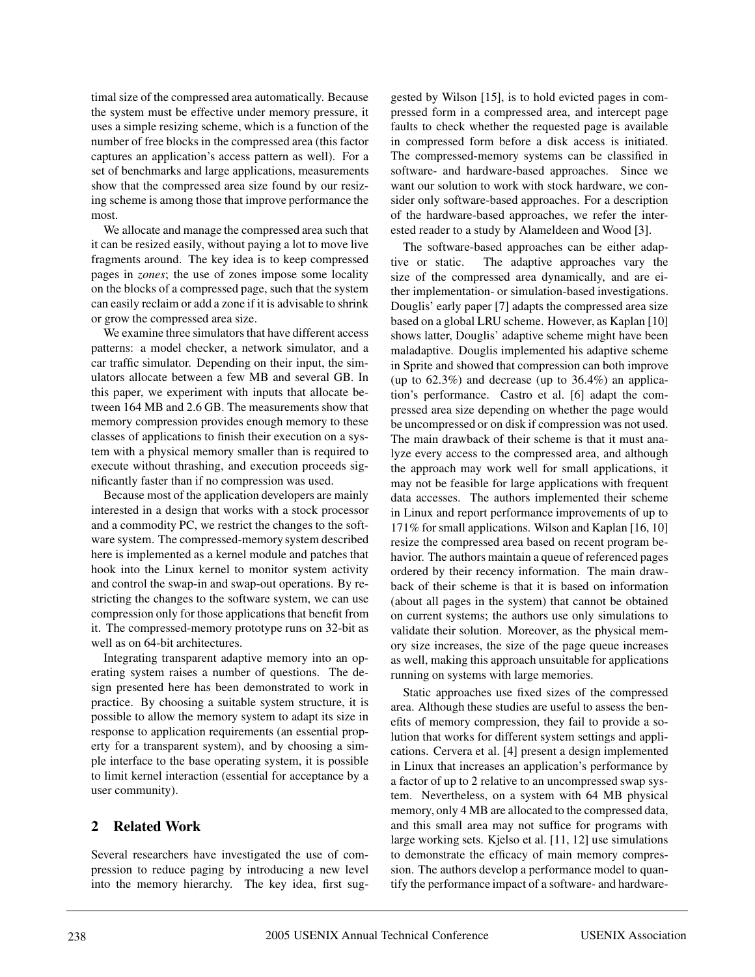timal size of the compressed area automatically. Because the system must be effective under memory pressure, it uses a simple resizing scheme, which is a function of the number of free blocks in the compressed area (this factor captures an application's access pattern as well). For a set of benchmarks and large applications, measurements show that the compressed area size found by our resizing scheme is among those that improve performance the most.

We allocate and manage the compressed area such that it can be resized easily, without paying a lot to move live fragments around. The key idea is to keep compressed pages in *zones*; the use of zones impose some locality on the blocks of a compressed page, such that the system can easily reclaim or add a zone if it is advisable to shrink or grow the compressed area size.

We examine three simulators that have different access patterns: a model checker, a network simulator, and a car traffic simulator. Depending on their input, the simulators allocate between a few MB and several GB. In this paper, we experiment with inputs that allocate between 164 MB and 2.6 GB. The measurements show that memory compression provides enough memory to these classes of applications to finish their execution on a system with a physical memory smaller than is required to execute without thrashing, and execution proceeds significantly faster than if no compression was used.

Because most of the application developers are mainly interested in a design that works with a stock processor and a commodity PC, we restrict the changes to the software system. The compressed-memory system described here is implemented as a kernel module and patches that hook into the Linux kernel to monitor system activity and control the swap-in and swap-out operations. By restricting the changes to the software system, we can use compression only for those applications that benefit from it. The compressed-memory prototype runs on 32-bit as well as on 64-bit architectures.

Integrating transparent adaptive memory into an operating system raises a number of questions. The design presented here has been demonstrated to work in practice. By choosing a suitable system structure, it is possible to allow the memory system to adapt its size in response to application requirements (an essential property for a transparent system), and by choosing a simple interface to the base operating system, it is possible to limit kernel interaction (essential for acceptance by a user community).

## **2 Related Work**

Several researchers have investigated the use of compression to reduce paging by introducing a new level into the memory hierarchy. The key idea, first sug-

gested by Wilson [15], is to hold evicted pages in compressed form in a compressed area, and intercept page faults to check whether the requested page is available in compressed form before a disk access is initiated. The compressed-memory systems can be classified in software- and hardware-based approaches. Since we want our solution to work with stock hardware, we consider only software-based approaches. For a description of the hardware-based approaches, we refer the interested reader to a study by Alameldeen and Wood [3].

The software-based approaches can be either adaptive or static. The adaptive approaches vary the size of the compressed area dynamically, and are either implementation- or simulation-based investigations. Douglis' early paper [7] adapts the compressed area size based on a global LRU scheme. However, as Kaplan [10] shows latter, Douglis' adaptive scheme might have been maladaptive. Douglis implemented his adaptive scheme in Sprite and showed that compression can both improve (up to  $62.3\%$ ) and decrease (up to  $36.4\%$ ) an application's performance. Castro et al. [6] adapt the compressed area size depending on whether the page would be uncompressed or on disk if compression was not used. The main drawback of their scheme is that it must analyze every access to the compressed area, and although the approach may work well for small applications, it may not be feasible for large applications with frequent data accesses. The authors implemented their scheme in Linux and report performance improvements of up to 171% for small applications. Wilson and Kaplan [16, 10] resize the compressed area based on recent program behavior. The authors maintain a queue of referenced pages ordered by their recency information. The main drawback of their scheme is that it is based on information (about all pages in the system) that cannot be obtained on current systems; the authors use only simulations to validate their solution. Moreover, as the physical memory size increases, the size of the page queue increases as well, making this approach unsuitable for applications running on systems with large memories.

Static approaches use fixed sizes of the compressed area. Although these studies are useful to assess the benefits of memory compression, they fail to provide a solution that works for different system settings and applications. Cervera et al. [4] present a design implemented in Linux that increases an application's performance by a factor of up to 2 relative to an uncompressed swap system. Nevertheless, on a system with 64 MB physical memory, only 4 MB are allocated to the compressed data, and this small area may not suffice for programs with large working sets. Kjelso et al. [11, 12] use simulations to demonstrate the efficacy of main memory compression. The authors develop a performance model to quantify the performance impact of a software- and hardware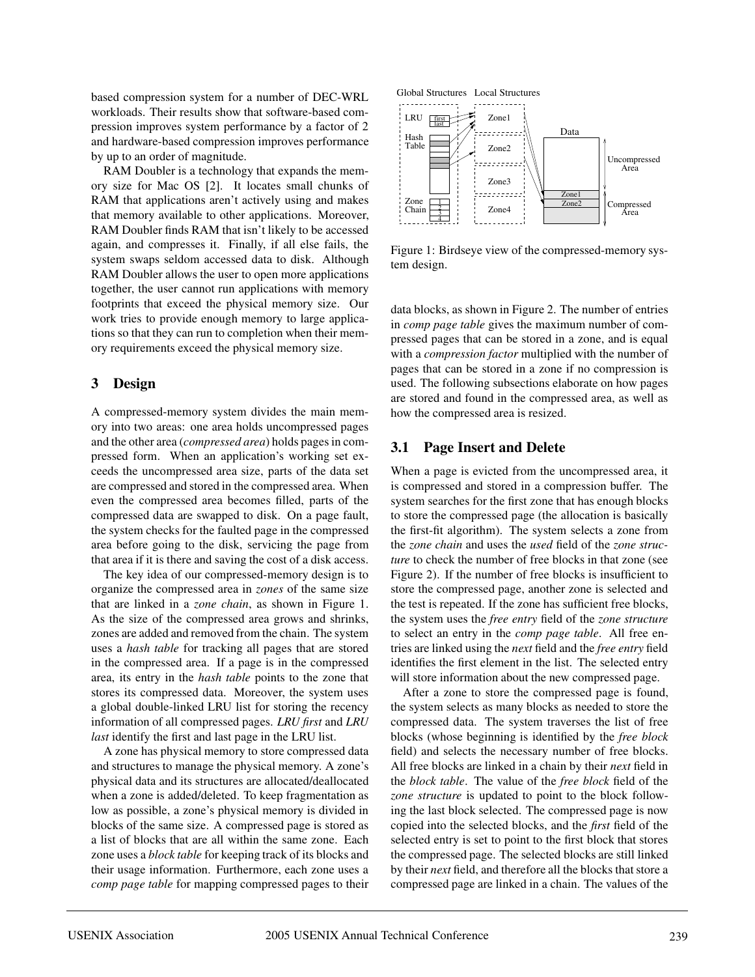based compression system for a number of DEC-WRL workloads. Their results show that software-based compression improves system performance by a factor of 2 and hardware-based compression improves performance by up to an order of magnitude.

RAM Doubler is a technology that expands the memory size for Mac OS [2]. It locates small chunks of RAM that applications aren't actively using and makes that memory available to other applications. Moreover, RAM Doubler finds RAM that isn't likely to be accessed again, and compresses it. Finally, if all else fails, the system swaps seldom accessed data to disk. Although RAM Doubler allows the user to open more applications together, the user cannot run applications with memory footprints that exceed the physical memory size. Our work tries to provide enough memory to large applications so that they can run to completion when their memory requirements exceed the physical memory size.

## **3 Design**

A compressed-memory system divides the main memory into two areas: one area holds uncompressed pages and the other area (*compressed area*) holds pages in compressed form. When an application's working set exceeds the uncompressed area size, parts of the data set are compressed and stored in the compressed area. When even the compressed area becomes filled, parts of the compressed data are swapped to disk. On a page fault, the system checks for the faulted page in the compressed area before going to the disk, servicing the page from that area if it is there and saving the cost of a disk access.

The key idea of our compressed-memory design is to organize the compressed area in *zones* of the same size that are linked in a *zone chain*, as shown in Figure 1. As the size of the compressed area grows and shrinks, zones are added and removed from the chain. The system uses a *hash table* for tracking all pages that are stored in the compressed area. If a page is in the compressed area, its entry in the *hash table* points to the zone that stores its compressed data. Moreover, the system uses a global double-linked LRU list for storing the recency information of all compressed pages. *LRU first* and *LRU last* identify the first and last page in the LRU list.

A zone has physical memory to store compressed data and structures to manage the physical memory. A zone's physical data and its structures are allocated/deallocated when a zone is added/deleted. To keep fragmentation as low as possible, a zone's physical memory is divided in blocks of the same size. A compressed page is stored as a list of blocks that are all within the same zone. Each zone uses a *block table* for keeping track of its blocks and their usage information. Furthermore, each zone uses a *comp page table* for mapping compressed pages to their



Figure 1: Birdseye view of the compressed-memory system design.

data blocks, as shown in Figure 2. The number of entries in *comp page table* gives the maximum number of compressed pages that can be stored in a zone, and is equal with a *compression factor* multiplied with the number of pages that can be stored in a zone if no compression is used. The following subsections elaborate on how pages are stored and found in the compressed area, as well as how the compressed area is resized.

# **3.1 Page Insert and Delete**

When a page is evicted from the uncompressed area, it is compressed and stored in a compression buffer. The system searches for the first zone that has enough blocks to store the compressed page (the allocation is basically the first-fit algorithm). The system selects a zone from the *zone chain* and uses the *used* field of the *zone structure* to check the number of free blocks in that zone (see Figure 2). If the number of free blocks is insufficient to store the compressed page, another zone is selected and the test is repeated. If the zone has sufficient free blocks, the system uses the *free entry* field of the *zone structure* to select an entry in the *comp page table*. All free entries are linked using the *next* field and the *free entry* field identifies the first element in the list. The selected entry will store information about the new compressed page.

After a zone to store the compressed page is found, the system selects as many blocks as needed to store the compressed data. The system traverses the list of free blocks (whose beginning is identified by the *free block* field) and selects the necessary number of free blocks. All free blocks are linked in a chain by their *next* field in the *block table*. The value of the *free block* field of the *zone structure* is updated to point to the block following the last block selected. The compressed page is now copied into the selected blocks, and the *first* field of the selected entry is set to point to the first block that stores the compressed page. The selected blocks are still linked by their *next* field, and therefore all the blocks that store a compressed page are linked in a chain. The values of the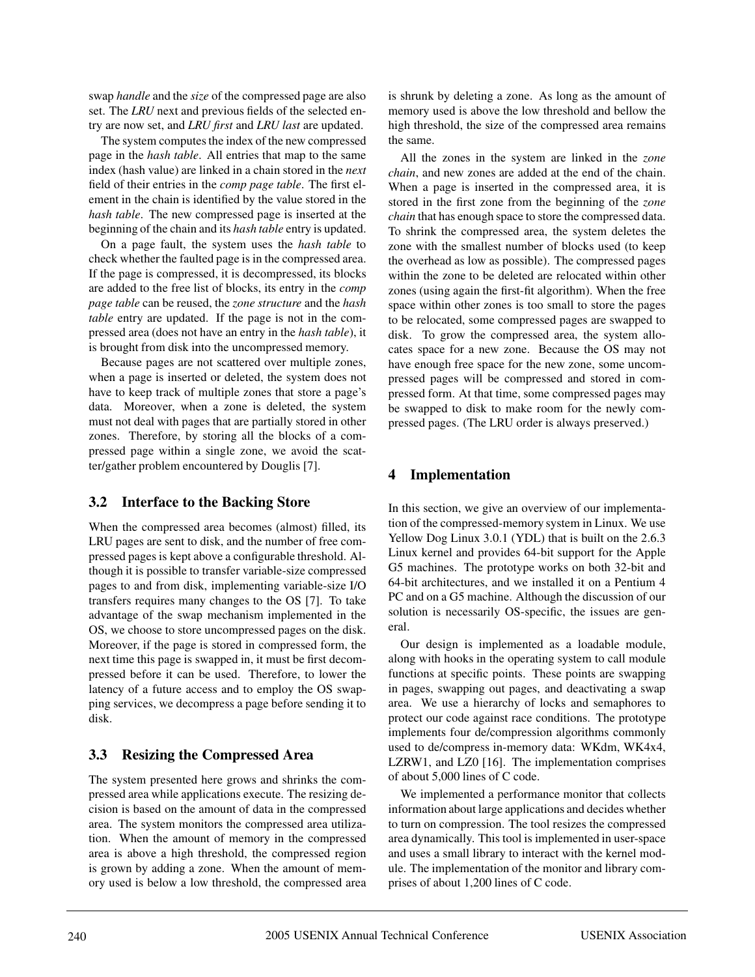swap *handle* and the *size* of the compressed page are also set. The *LRU* next and previous fields of the selected entry are now set, and *LRU first* and *LRU last* are updated.

The system computes the index of the new compressed page in the *hash table*. All entries that map to the same index (hash value) are linked in a chain stored in the *next* field of their entries in the *comp page table*. The first element in the chain is identified by the value stored in the *hash table*. The new compressed page is inserted at the beginning of the chain and its *hash table* entry is updated.

On a page fault, the system uses the *hash table* to check whether the faulted page is in the compressed area. If the page is compressed, it is decompressed, its blocks are added to the free list of blocks, its entry in the *comp page table* can be reused, the *zone structure* and the *hash table* entry are updated. If the page is not in the compressed area (does not have an entry in the *hash table*), it is brought from disk into the uncompressed memory.

Because pages are not scattered over multiple zones, when a page is inserted or deleted, the system does not have to keep track of multiple zones that store a page's data. Moreover, when a zone is deleted, the system must not deal with pages that are partially stored in other zones. Therefore, by storing all the blocks of a compressed page within a single zone, we avoid the scatter/gather problem encountered by Douglis [7].

## **3.2 Interface to the Backing Store**

When the compressed area becomes (almost) filled, its LRU pages are sent to disk, and the number of free compressed pages is kept above a configurable threshold. Although it is possible to transfer variable-size compressed pages to and from disk, implementing variable-size I/O transfers requires many changes to the OS [7]. To take advantage of the swap mechanism implemented in the OS, we choose to store uncompressed pages on the disk. Moreover, if the page is stored in compressed form, the next time this page is swapped in, it must be first decompressed before it can be used. Therefore, to lower the latency of a future access and to employ the OS swapping services, we decompress a page before sending it to disk.

# **3.3 Resizing the Compressed Area**

The system presented here grows and shrinks the compressed area while applications execute. The resizing decision is based on the amount of data in the compressed area. The system monitors the compressed area utilization. When the amount of memory in the compressed area is above a high threshold, the compressed region is grown by adding a zone. When the amount of memory used is below a low threshold, the compressed area is shrunk by deleting a zone. As long as the amount of memory used is above the low threshold and bellow the high threshold, the size of the compressed area remains the same.

All the zones in the system are linked in the *zone chain*, and new zones are added at the end of the chain. When a page is inserted in the compressed area, it is stored in the first zone from the beginning of the *zone chain* that has enough space to store the compressed data. To shrink the compressed area, the system deletes the zone with the smallest number of blocks used (to keep the overhead as low as possible). The compressed pages within the zone to be deleted are relocated within other zones (using again the first-fit algorithm). When the free space within other zones is too small to store the pages to be relocated, some compressed pages are swapped to disk. To grow the compressed area, the system allocates space for a new zone. Because the OS may not have enough free space for the new zone, some uncompressed pages will be compressed and stored in compressed form. At that time, some compressed pages may be swapped to disk to make room for the newly compressed pages. (The LRU order is always preserved.)

# **4 Implementation**

In this section, we give an overview of our implementation of the compressed-memory system in Linux. We use Yellow Dog Linux 3.0.1 (YDL) that is built on the 2.6.3 Linux kernel and provides 64-bit support for the Apple G5 machines. The prototype works on both 32-bit and 64-bit architectures, and we installed it on a Pentium 4 PC and on a G5 machine. Although the discussion of our solution is necessarily OS-specific, the issues are general.

Our design is implemented as a loadable module, along with hooks in the operating system to call module functions at specific points. These points are swapping in pages, swapping out pages, and deactivating a swap area. We use a hierarchy of locks and semaphores to protect our code against race conditions. The prototype implements four de/compression algorithms commonly used to de/compress in-memory data: WKdm, WK4x4, LZRW1, and LZ0 [16]. The implementation comprises of about 5,000 lines of C code.

We implemented a performance monitor that collects information about large applications and decides whether to turn on compression. The tool resizes the compressed area dynamically. This tool is implemented in user-space and uses a small library to interact with the kernel module. The implementation of the monitor and library comprises of about 1,200 lines of C code.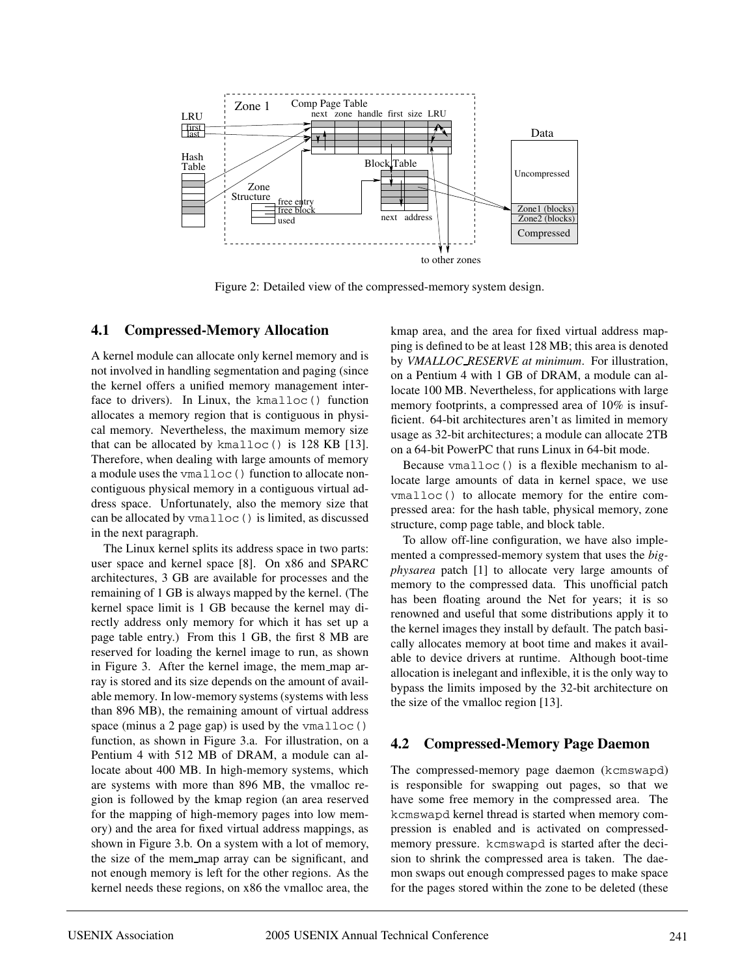

Figure 2: Detailed view of the compressed-memory system design.

### **4.1 Compressed-Memory Allocation**

A kernel module can allocate only kernel memory and is not involved in handling segmentation and paging (since the kernel offers a unified memory management interface to drivers). In Linux, the kmalloc() function allocates a memory region that is contiguous in physical memory. Nevertheless, the maximum memory size that can be allocated by kmalloc() is 128 KB [13]. Therefore, when dealing with large amounts of memory a module uses the vmalloc() function to allocate noncontiguous physical memory in a contiguous virtual address space. Unfortunately, also the memory size that can be allocated by vmalloc() is limited, as discussed in the next paragraph.

The Linux kernel splits its address space in two parts: user space and kernel space [8]. On x86 and SPARC architectures, 3 GB are available for processes and the remaining of 1 GB is always mapped by the kernel. (The kernel space limit is 1 GB because the kernel may directly address only memory for which it has set up a page table entry.) From this 1 GB, the first 8 MB are reserved for loading the kernel image to run, as shown in Figure 3. After the kernel image, the mem map array is stored and its size depends on the amount of available memory. In low-memory systems (systems with less than 896 MB), the remaining amount of virtual address space (minus a 2 page gap) is used by the  $v_{\text{malloc}}($ ) function, as shown in Figure 3.a. For illustration, on a Pentium 4 with 512 MB of DRAM, a module can allocate about 400 MB. In high-memory systems, which are systems with more than 896 MB, the vmalloc region is followed by the kmap region (an area reserved for the mapping of high-memory pages into low memory) and the area for fixed virtual address mappings, as shown in Figure 3.b. On a system with a lot of memory, the size of the mem map array can be significant, and not enough memory is left for the other regions. As the kernel needs these regions, on x86 the vmalloc area, the

kmap area, and the area for fixed virtual address mapping is defined to be at least 128 MB; this area is denoted by *VMALLOC RESERVE at minimum*. For illustration, on a Pentium 4 with 1 GB of DRAM, a module can allocate 100 MB. Nevertheless, for applications with large memory footprints, a compressed area of 10% is insufficient. 64-bit architectures aren't as limited in memory usage as 32-bit architectures; a module can allocate 2TB on a 64-bit PowerPC that runs Linux in 64-bit mode.

Because vmalloc() is a flexible mechanism to allocate large amounts of data in kernel space, we use vmalloc() to allocate memory for the entire compressed area: for the hash table, physical memory, zone structure, comp page table, and block table.

To allow off-line configuration, we have also implemented a compressed-memory system that uses the *bigphysarea* patch [1] to allocate very large amounts of memory to the compressed data. This unofficial patch has been floating around the Net for years; it is so renowned and useful that some distributions apply it to the kernel images they install by default. The patch basically allocates memory at boot time and makes it available to device drivers at runtime. Although boot-time allocation is inelegant and inflexible, it is the only way to bypass the limits imposed by the 32-bit architecture on the size of the vmalloc region [13].

## **4.2 Compressed-Memory Page Daemon**

The compressed-memory page daemon (kcmswapd) is responsible for swapping out pages, so that we have some free memory in the compressed area. The kcmswapd kernel thread is started when memory compression is enabled and is activated on compressedmemory pressure. kcmswapd is started after the decision to shrink the compressed area is taken. The daemon swaps out enough compressed pages to make space for the pages stored within the zone to be deleted (these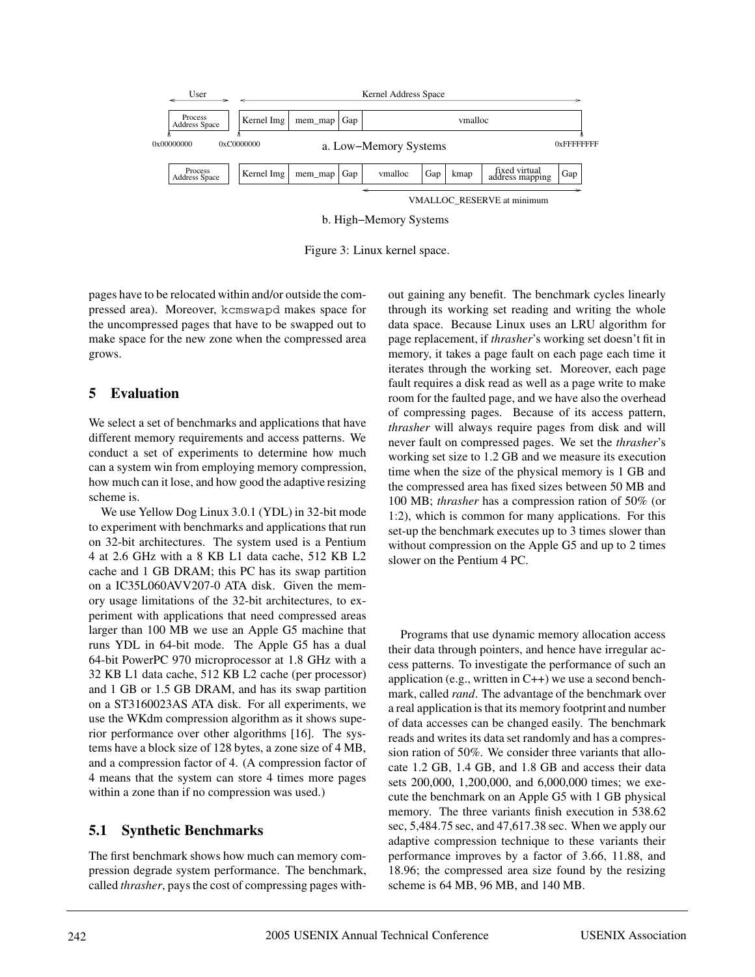

b. High−Memory Systems

Figure 3: Linux kernel space.

pages have to be relocated within and/or outside the compressed area). Moreover, kcmswapd makes space for the uncompressed pages that have to be swapped out to make space for the new zone when the compressed area grows.

# **5 Evaluation**

We select a set of benchmarks and applications that have different memory requirements and access patterns. We conduct a set of experiments to determine how much can a system win from employing memory compression, how much can it lose, and how good the adaptive resizing scheme is.

We use Yellow Dog Linux 3.0.1 (YDL) in 32-bit mode to experiment with benchmarks and applications that run on 32-bit architectures. The system used is a Pentium 4 at 2.6 GHz with a 8 KB L1 data cache, 512 KB L2 cache and 1 GB DRAM; this PC has its swap partition on a IC35L060AVV207-0 ATA disk. Given the memory usage limitations of the 32-bit architectures, to experiment with applications that need compressed areas larger than 100 MB we use an Apple G5 machine that runs YDL in 64-bit mode. The Apple G5 has a dual 64-bit PowerPC 970 microprocessor at 1.8 GHz with a 32 KB L1 data cache, 512 KB L2 cache (per processor) and 1 GB or 1.5 GB DRAM, and has its swap partition on a ST3160023AS ATA disk. For all experiments, we use the WKdm compression algorithm as it shows superior performance over other algorithms [16]. The systems have a block size of 128 bytes, a zone size of 4 MB, and a compression factor of 4. (A compression factor of 4 means that the system can store 4 times more pages within a zone than if no compression was used.)

# **5.1 Synthetic Benchmarks**

The first benchmark shows how much can memory compression degrade system performance. The benchmark, called *thrasher*, pays the cost of compressing pages without gaining any benefit. The benchmark cycles linearly through its working set reading and writing the whole data space. Because Linux uses an LRU algorithm for page replacement, if *thrasher*'s working set doesn't fit in memory, it takes a page fault on each page each time it iterates through the working set. Moreover, each page fault requires a disk read as well as a page write to make room for the faulted page, and we have also the overhead of compressing pages. Because of its access pattern, *thrasher* will always require pages from disk and will never fault on compressed pages. We set the *thrasher*'s working set size to 1.2 GB and we measure its execution time when the size of the physical memory is 1 GB and the compressed area has fixed sizes between 50 MB and 100 MB; *thrasher* has a compression ration of 50% (or 1:2), which is common for many applications. For this set-up the benchmark executes up to 3 times slower than without compression on the Apple G5 and up to 2 times slower on the Pentium 4 PC.

Programs that use dynamic memory allocation access their data through pointers, and hence have irregular access patterns. To investigate the performance of such an application (e.g., written in C++) we use a second benchmark, called *rand*. The advantage of the benchmark over a real application is that its memory footprint and number of data accesses can be changed easily. The benchmark reads and writes its data set randomly and has a compression ration of 50%. We consider three variants that allocate 1.2 GB, 1.4 GB, and 1.8 GB and access their data sets 200,000, 1,200,000, and 6,000,000 times; we execute the benchmark on an Apple G5 with 1 GB physical memory. The three variants finish execution in 538.62 sec, 5,484.75 sec, and 47,617.38 sec. When we apply our adaptive compression technique to these variants their performance improves by a factor of 3.66, 11.88, and 18.96; the compressed area size found by the resizing scheme is 64 MB, 96 MB, and 140 MB.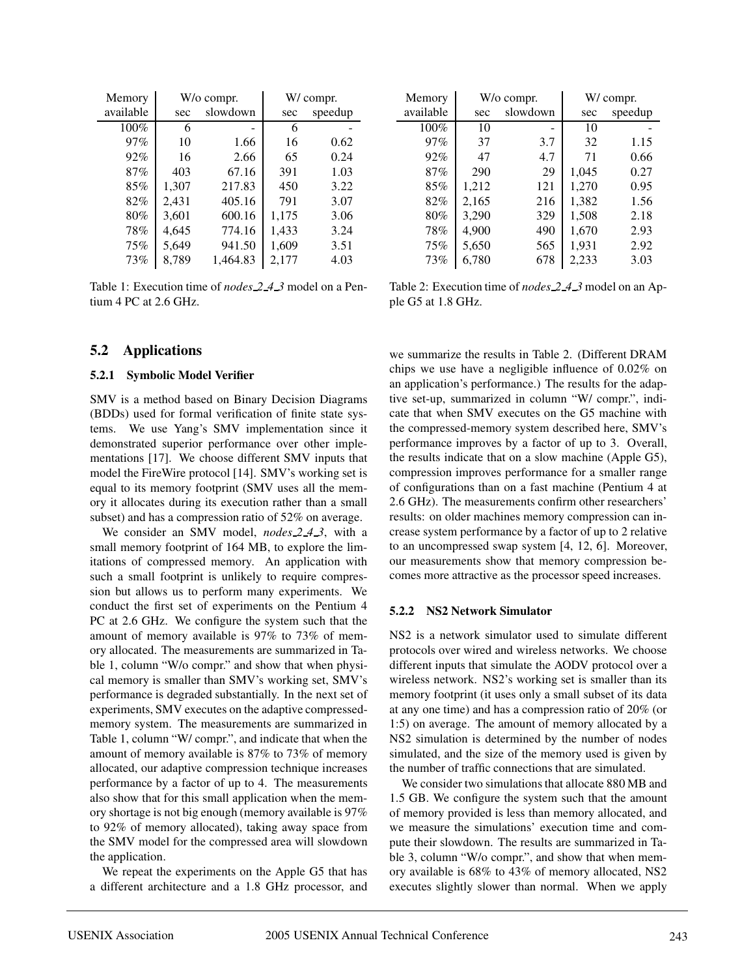| Memory    |       | W/o compr. |       | W/ compr. |
|-----------|-------|------------|-------|-----------|
| available | sec   | slowdown   | sec   | speedup   |
| 100%      | 6     |            | 6     |           |
| 97%       | 10    | 1.66       | 16    | 0.62      |
| 92%       | 16    | 2.66       | 65    | 0.24      |
| 87%       | 403   | 67.16      | 391   | 1.03      |
| 85%       | 1,307 | 217.83     | 450   | 3.22      |
| 82%       | 2,431 | 405.16     | 791   | 3.07      |
| 80%       | 3,601 | 600.16     | 1,175 | 3.06      |
| 78%       | 4,645 | 774.16     | 1,433 | 3.24      |
| 75%       | 5,649 | 941.50     | 1,609 | 3.51      |
| 73%       | 8,789 | 1,464.83   | 2,177 | 4.03      |

Table 1: Execution time of *nodes 2 4 3* model on a Pentium 4 PC at 2.6 GHz.

#### **5.2 Applications**

#### **5.2.1 Symbolic Model Verifier**

SMV is a method based on Binary Decision Diagrams (BDDs) used for formal verification of finite state systems. We use Yang's SMV implementation since it demonstrated superior performance over other implementations [17]. We choose different SMV inputs that model the FireWire protocol [14]. SMV's working set is equal to its memory footprint (SMV uses all the memory it allocates during its execution rather than a small subset) and has a compression ratio of 52% on average.

We consider an SMV model, *nodes 2 4 3*, with a small memory footprint of 164 MB, to explore the limitations of compressed memory. An application with such a small footprint is unlikely to require compression but allows us to perform many experiments. We conduct the first set of experiments on the Pentium 4 PC at 2.6 GHz. We configure the system such that the amount of memory available is 97% to 73% of memory allocated. The measurements are summarized in Table 1, column "W/o compr." and show that when physical memory is smaller than SMV's working set, SMV's performance is degraded substantially. In the next set of experiments, SMV executes on the adaptive compressedmemory system. The measurements are summarized in Table 1, column "W/ compr.", and indicate that when the amount of memory available is 87% to 73% of memory allocated, our adaptive compression technique increases performance by a factor of up to 4. The measurements also show that for this small application when the memory shortage is not big enough (memory available is 97% to 92% of memory allocated), taking away space from the SMV model for the compressed area will slowdown the application.

We repeat the experiments on the Apple G5 that has a different architecture and a 1.8 GHz processor, and

| Memory    |       | W/o compr. | W/ compr. |         |  |
|-----------|-------|------------|-----------|---------|--|
| available | sec   | slowdown   | sec       | speedup |  |
| 100%      | 10    |            | 10        |         |  |
| 97%       | 37    | 3.7        | 32        | 1.15    |  |
| 92%       | 47    | 4.7        | 71        | 0.66    |  |
| 87%       | 290   | 29         | 1,045     | 0.27    |  |
| 85%       | 1,212 | 121        | 1,270     | 0.95    |  |
| 82%       | 2,165 | 216        | 1,382     | 1.56    |  |
| 80%       | 3,290 | 329        | 1,508     | 2.18    |  |
| 78%       | 4,900 | 490        | 1,670     | 2.93    |  |
| 75%       | 5,650 | 565        | 1,931     | 2.92    |  |
| 73%       | 6,780 | 678        | 2,233     | 3.03    |  |

Table 2: Execution time of *nodes 2 4 3* model on an Apple G5 at 1.8 GHz.

we summarize the results in Table 2. (Different DRAM chips we use have a negligible influence of 0.02% on an application's performance.) The results for the adaptive set-up, summarized in column "W/ compr.", indicate that when SMV executes on the G5 machine with the compressed-memory system described here, SMV's performance improves by a factor of up to 3. Overall, the results indicate that on a slow machine (Apple G5), compression improves performance for a smaller range of configurations than on a fast machine (Pentium 4 at 2.6 GHz). The measurements confirm other researchers' results: on older machines memory compression can increase system performance by a factor of up to 2 relative to an uncompressed swap system [4, 12, 6]. Moreover, our measurements show that memory compression becomes more attractive as the processor speed increases.

#### **5.2.2 NS2 Network Simulator**

NS2 is a network simulator used to simulate different protocols over wired and wireless networks. We choose different inputs that simulate the AODV protocol over a wireless network. NS2's working set is smaller than its memory footprint (it uses only a small subset of its data at any one time) and has a compression ratio of 20% (or 1:5) on average. The amount of memory allocated by a NS2 simulation is determined by the number of nodes simulated, and the size of the memory used is given by the number of traffic connections that are simulated.

We consider two simulations that allocate 880 MB and 1.5 GB. We configure the system such that the amount of memory provided is less than memory allocated, and we measure the simulations' execution time and compute their slowdown. The results are summarized in Table 3, column "W/o compr.", and show that when memory available is 68% to 43% of memory allocated, NS2 executes slightly slower than normal. When we apply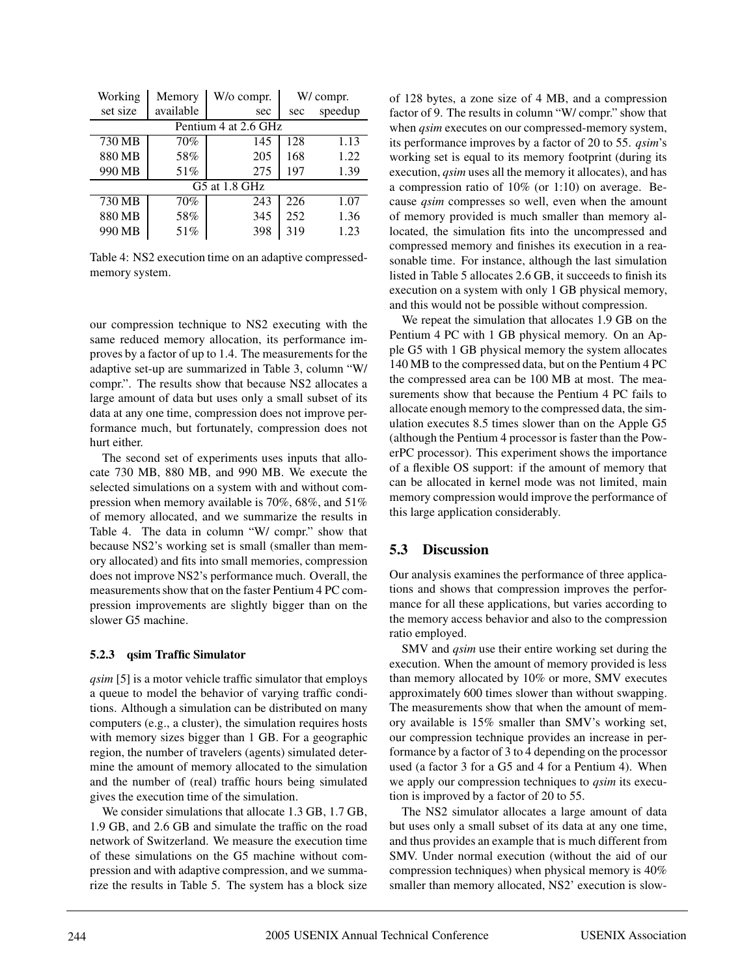| Working                 | Memory    | W/o compr.           | W/ compr. |         |  |
|-------------------------|-----------|----------------------|-----------|---------|--|
| set size                | available | sec                  | sec       | speedup |  |
|                         |           | Pentium 4 at 2.6 GHz |           |         |  |
| 730 MB                  | 70%       | 145                  | 128       | 1.13    |  |
| 880 MB                  | 58%       | 205                  | 168       | 1.22    |  |
| 990 MB                  | 51%       | 275                  | 197       | 1.39    |  |
| G5 at $1.8 \text{ GHz}$ |           |                      |           |         |  |
| 730 MB                  | 70%       | 243                  | 226       | 1.07    |  |
| 880 MB                  | 58%       | 345                  | 252       | 1.36    |  |
| 990 MB                  | 51%       | 398                  | 319       | 1.23    |  |

Table 4: NS2 execution time on an adaptive compressedmemory system.

our compression technique to NS2 executing with the same reduced memory allocation, its performance improves by a factor of up to 1.4. The measurements for the adaptive set-up are summarized in Table 3, column "W/ compr.". The results show that because NS2 allocates a large amount of data but uses only a small subset of its data at any one time, compression does not improve performance much, but fortunately, compression does not hurt either.

The second set of experiments uses inputs that allocate 730 MB, 880 MB, and 990 MB. We execute the selected simulations on a system with and without compression when memory available is 70%, 68%, and 51% of memory allocated, and we summarize the results in Table 4. The data in column "W/ compr." show that because NS2's working set is small (smaller than memory allocated) and fits into small memories, compression does not improve NS2's performance much. Overall, the measurements show that on the faster Pentium 4 PC compression improvements are slightly bigger than on the slower G5 machine.

#### **5.2.3 qsim Traffic Simulator**

*qsim* [5] is a motor vehicle traffic simulator that employs a queue to model the behavior of varying traffic conditions. Although a simulation can be distributed on many computers (e.g., a cluster), the simulation requires hosts with memory sizes bigger than 1 GB. For a geographic region, the number of travelers (agents) simulated determine the amount of memory allocated to the simulation and the number of (real) traffic hours being simulated gives the execution time of the simulation.

We consider simulations that allocate 1.3 GB, 1.7 GB, 1.9 GB, and 2.6 GB and simulate the traffic on the road network of Switzerland. We measure the execution time of these simulations on the G5 machine without compression and with adaptive compression, and we summarize the results in Table 5. The system has a block size

of 128 bytes, a zone size of 4 MB, and a compression factor of 9. The results in column "W/ compr." show that when *qsim* executes on our compressed-memory system, its performance improves by a factor of 20 to 55. *qsim*'s working set is equal to its memory footprint (during its execution, *qsim* uses all the memory it allocates), and has a compression ratio of 10% (or 1:10) on average. Because *qsim* compresses so well, even when the amount of memory provided is much smaller than memory allocated, the simulation fits into the uncompressed and compressed memory and finishes its execution in a reasonable time. For instance, although the last simulation listed in Table 5 allocates 2.6 GB, it succeeds to finish its execution on a system with only 1 GB physical memory, and this would not be possible without compression.

We repeat the simulation that allocates 1.9 GB on the Pentium 4 PC with 1 GB physical memory. On an Apple G5 with 1 GB physical memory the system allocates 140 MB to the compressed data, but on the Pentium 4 PC the compressed area can be 100 MB at most. The measurements show that because the Pentium 4 PC fails to allocate enough memory to the compressed data, the simulation executes 8.5 times slower than on the Apple G5 (although the Pentium 4 processor is faster than the PowerPC processor). This experiment shows the importance of a flexible OS support: if the amount of memory that can be allocated in kernel mode was not limited, main memory compression would improve the performance of this large application considerably.

## **5.3 Discussion**

Our analysis examines the performance of three applications and shows that compression improves the performance for all these applications, but varies according to the memory access behavior and also to the compression ratio employed.

SMV and *qsim* use their entire working set during the execution. When the amount of memory provided is less than memory allocated by 10% or more, SMV executes approximately 600 times slower than without swapping. The measurements show that when the amount of memory available is 15% smaller than SMV's working set, our compression technique provides an increase in performance by a factor of 3 to 4 depending on the processor used (a factor 3 for a G5 and 4 for a Pentium 4). When we apply our compression techniques to *qsim* its execution is improved by a factor of 20 to 55.

The NS2 simulator allocates a large amount of data but uses only a small subset of its data at any one time, and thus provides an example that is much different from SMV. Under normal execution (without the aid of our compression techniques) when physical memory is 40% smaller than memory allocated, NS2' execution is slow-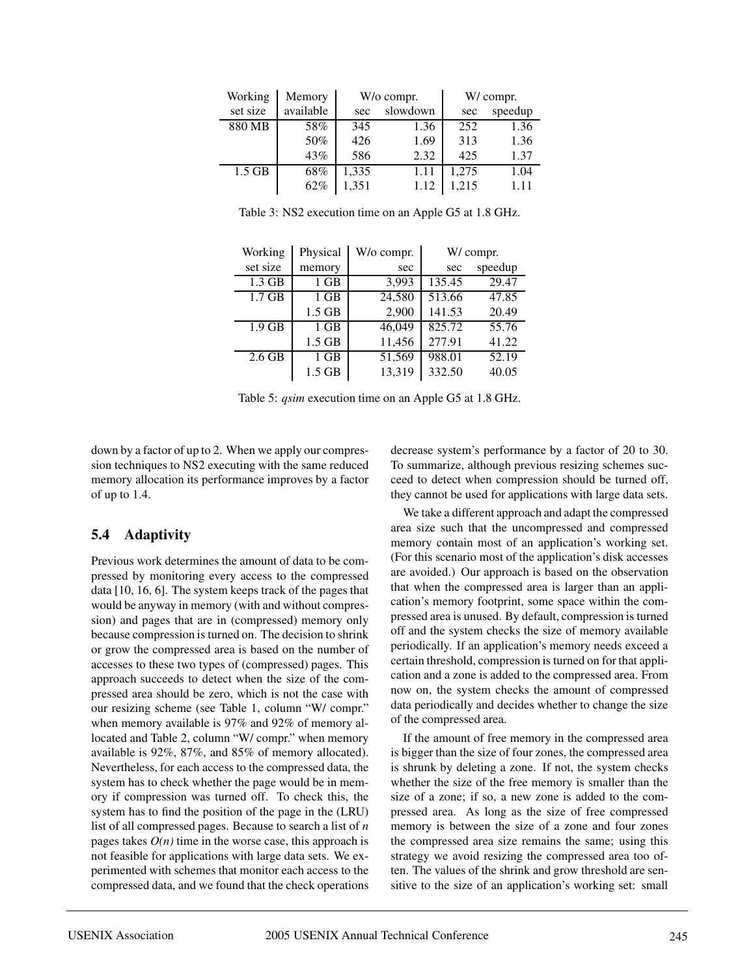| Working  | Memory    |                 | W/o compr. | W/ compr. |         |  |
|----------|-----------|-----------------|------------|-----------|---------|--|
| set size | available | slowdown<br>sec |            | sec       | speedup |  |
| 880 MB   | 58%       | 345             | 1.36       | 252       | 1.36    |  |
|          | 50%       | 426<br>1.69     |            | 313       | 1.36    |  |
|          | 43%       | 586             | 2.32       | 425       | 1.37    |  |
| $1.5$ GB | 68%       | 1,335           | 1.11       | 1.275     | 1.04    |  |
|          | 62%       | 1,351           | 1.12       | 1.215     | 1 1 1   |  |

Table 3: NS2 execution time on an Apple G5 at 1.8 GHz.

| Working  | Physical | W/o compr. | W/compr. |         |
|----------|----------|------------|----------|---------|
| set size | memory   | sec        | sec      | speedup |
| $1.3$ GB | 1 GB     | 3,993      | 135.45   | 29.47   |
| $1.7$ GB | $1$ GB   | 24,580     | 513.66   | 47.85   |
|          | $1.5$ GB | 2,900      | 141.53   | 20.49   |
| $1.9$ GB | $1$ GB   | 46,049     | 825.72   | 55.76   |
|          | $1.5$ GB | 11,456     | 277.91   | 41.22   |
| $2.6$ GB | 1 GB     | 51,569     | 988.01   | 52.19   |
|          | $1.5$ GB | 13,319     | 332.50   | 40.05   |

Table 5: *qsim* execution time on an Apple G5 at 1.8 GHz.

down by a factor of up to 2. When we apply our compression techniques to NS2 executing with the same reduced memory allocation its performance improves by a factor of up to 1.4.

## **5.4 Adaptivity**

Previous work determines the amount of data to be compressed by monitoring every access to the compressed data [10, 16, 6]. The system keeps track of the pages that would be anyway in memory (with and without compression) and pages that are in (compressed) memory only because compression is turned on. The decision to shrink or grow the compressed area is based on the number of accesses to these two types of (compressed) pages. This approach succeeds to detect when the size of the compressed area should be zero, which is not the case with our resizing scheme (see Table 1, column "W/ compr." when memory available is 97% and 92% of memory allocated and Table 2, column "W/ compr." when memory available is 92%, 87%, and 85% of memory allocated). Nevertheless, for each access to the compressed data, the system has to check whether the page would be in memory if compression was turned off. To check this, the system has to find the position of the page in the (LRU) list of all compressed pages. Because to search a list of *n* pages takes  $O(n)$  time in the worse case, this approach is not feasible for applications with large data sets. We experimented with schemes that monitor each access to the compressed data, and we found that the check operations decrease system's performance by a factor of 20 to 30. To summarize, although previous resizing schemes succeed to detect when compression should be turned off, they cannot be used for applications with large data sets.

We take a different approach and adapt the compressed area size such that the uncompressed and compressed memory contain most of an application's working set. (For this scenario most of the application's disk accesses are avoided.) Our approach is based on the observation that when the compressed area is larger than an application's memory footprint, some space within the compressed area is unused. By default, compression is turned off and the system checks the size of memory available periodically. If an application's memory needs exceed a certain threshold, compression is turned on for that application and a zone is added to the compressed area. From now on, the system checks the amount of compressed data periodically and decides whether to change the size of the compressed area.

If the amount of free memory in the compressed area is bigger than the size of four zones, the compressed area is shrunk by deleting a zone. If not, the system checks whether the size of the free memory is smaller than the size of a zone; if so, a new zone is added to the compressed area. As long as the size of free compressed memory is between the size of a zone and four zones the compressed area size remains the same; using this strategy we avoid resizing the compressed area too often. The values of the shrink and grow threshold are sensitive to the size of an application's working set: small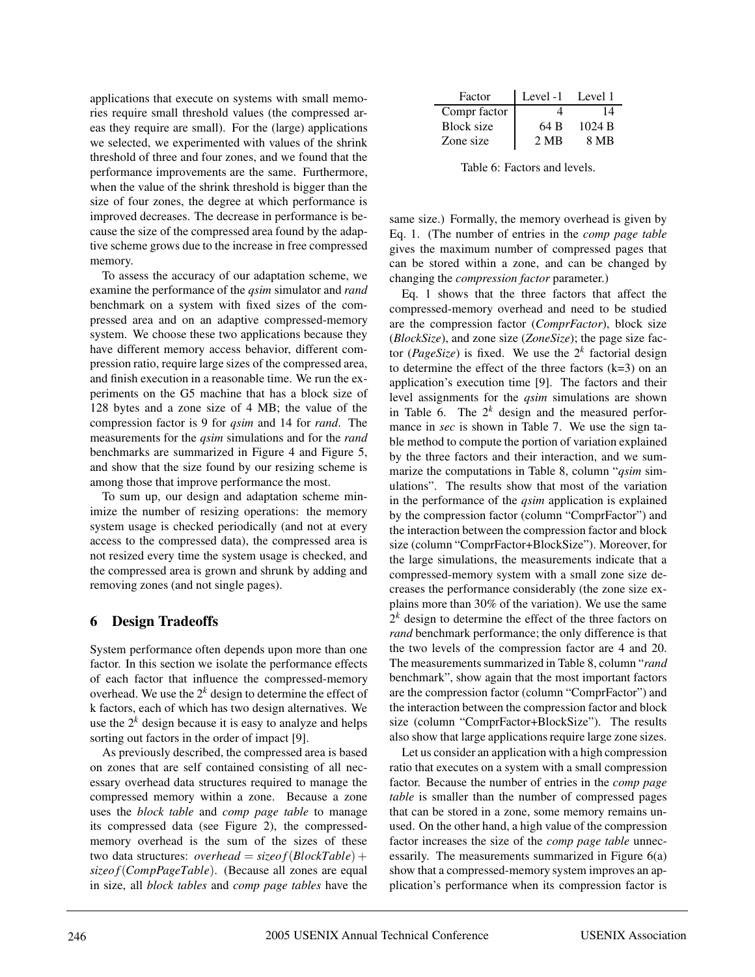applications that execute on systems with small memories require small threshold values (the compressed areas they require are small). For the (large) applications we selected, we experimented with values of the shrink threshold of three and four zones, and we found that the performance improvements are the same. Furthermore, when the value of the shrink threshold is bigger than the size of four zones, the degree at which performance is improved decreases. The decrease in performance is because the size of the compressed area found by the adaptive scheme grows due to the increase in free compressed memory.

To assess the accuracy of our adaptation scheme, we examine the performance of the *qsim* simulator and *rand* benchmark on a system with fixed sizes of the compressed area and on an adaptive compressed-memory system. We choose these two applications because they have different memory access behavior, different compression ratio, require large sizes of the compressed area, and finish execution in a reasonable time. We run the experiments on the G5 machine that has a block size of 128 bytes and a zone size of 4 MB; the value of the compression factor is 9 for *qsim* and 14 for *rand*. The measurements for the *qsim* simulations and for the *rand* benchmarks are summarized in Figure 4 and Figure 5, and show that the size found by our resizing scheme is among those that improve performance the most.

To sum up, our design and adaptation scheme minimize the number of resizing operations: the memory system usage is checked periodically (and not at every access to the compressed data), the compressed area is not resized every time the system usage is checked, and the compressed area is grown and shrunk by adding and removing zones (and not single pages).

## **6 Design Tradeoffs**

System performance often depends upon more than one factor. In this section we isolate the performance effects of each factor that influence the compressed-memory overhead. We use the  $2^k$  design to determine the effect of k factors, each of which has two design alternatives. We use the  $2^k$  design because it is easy to analyze and helps sorting out factors in the order of impact [9].

As previously described, the compressed area is based on zones that are self contained consisting of all necessary overhead data structures required to manage the compressed memory within a zone. Because a zone uses the *block table* and *comp page table* to manage its compressed data (see Figure 2), the compressedmemory overhead is the sum of the sizes of these two data structures: *overhead* =  $\text{size} of(\text{BlockTable}) +$ *sizeo f*(*CompPageTable*). (Because all zones are equal in size, all *block tables* and *comp page tables* have the

| Factor       | Level -1       | Level 1 |
|--------------|----------------|---------|
| Compr factor |                | 14      |
| Block size   | 64 B           | 1024 B  |
| Zone size    | $2 \text{ MR}$ | 8 M B   |

Table 6: Factors and levels.

same size.) Formally, the memory overhead is given by Eq. 1. (The number of entries in the *comp page table* gives the maximum number of compressed pages that can be stored within a zone, and can be changed by changing the *compression factor* parameter.)

Eq. 1 shows that the three factors that affect the compressed-memory overhead and need to be studied are the compression factor (*ComprFactor*), block size (*BlockSize*), and zone size (*ZoneSize*); the page size factor (*PageSize*) is fixed. We use the  $2^k$  factorial design to determine the effect of the three factors  $(k=3)$  on an application's execution time [9]. The factors and their level assignments for the *qsim* simulations are shown in Table 6. The  $2^k$  design and the measured performance in *sec* is shown in Table 7. We use the sign table method to compute the portion of variation explained by the three factors and their interaction, and we summarize the computations in Table 8, column "*qsim* simulations". The results show that most of the variation in the performance of the *qsim* application is explained by the compression factor (column "ComprFactor") and the interaction between the compression factor and block size (column "ComprFactor+BlockSize"). Moreover, for the large simulations, the measurements indicate that a compressed-memory system with a small zone size decreases the performance considerably (the zone size explains more than 30% of the variation). We use the same  $2<sup>k</sup>$  design to determine the effect of the three factors on *rand* benchmark performance; the only difference is that the two levels of the compression factor are 4 and 20. The measurements summarized in Table 8, column "*rand* benchmark", show again that the most important factors are the compression factor (column "ComprFactor") and the interaction between the compression factor and block size (column "ComprFactor+BlockSize"). The results also show that large applications require large zone sizes.

Let us consider an application with a high compression ratio that executes on a system with a small compression factor. Because the number of entries in the *comp page table* is smaller than the number of compressed pages that can be stored in a zone, some memory remains unused. On the other hand, a high value of the compression factor increases the size of the *comp page table* unnecessarily. The measurements summarized in Figure 6(a) show that a compressed-memory system improves an application's performance when its compression factor is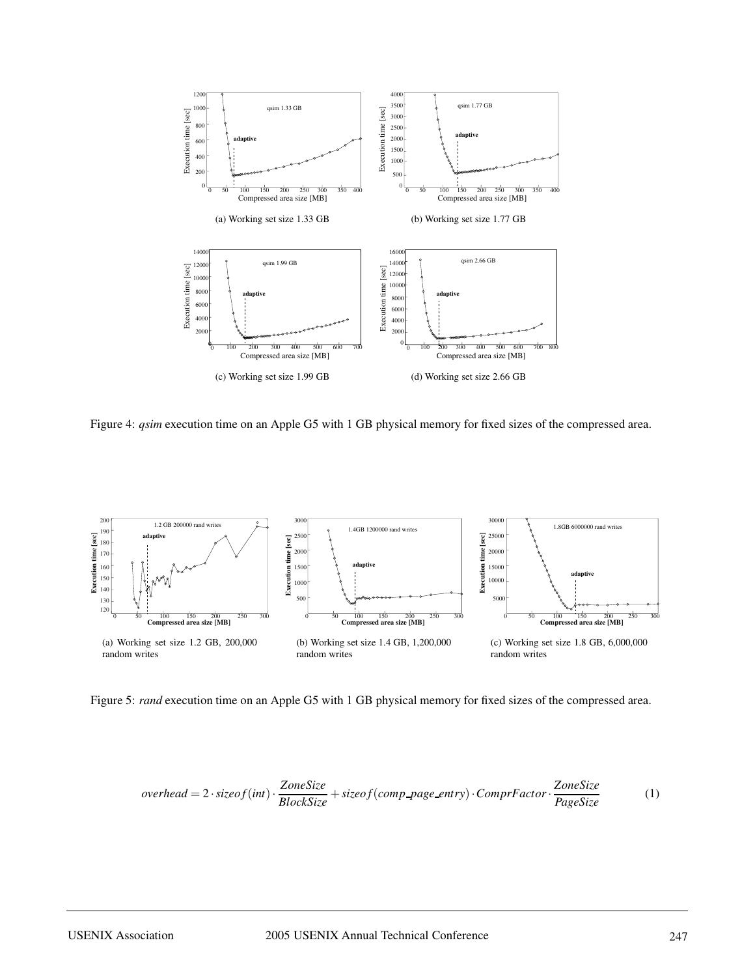

Figure 4: *qsim* execution time on an Apple G5 with 1 GB physical memory for fixed sizes of the compressed area.



Figure 5: *rand* execution time on an Apple G5 with 1 GB physical memory for fixed sizes of the compressed area.

$$
overhead = 2 \cdot sizeof(int) \cdot \frac{ZoneSize}{BlockSize} + sizeof(comp\_\npage{entry}) \cdot ComprFactor \cdot \frac{ZoneSize}{PageSize} \tag{1}
$$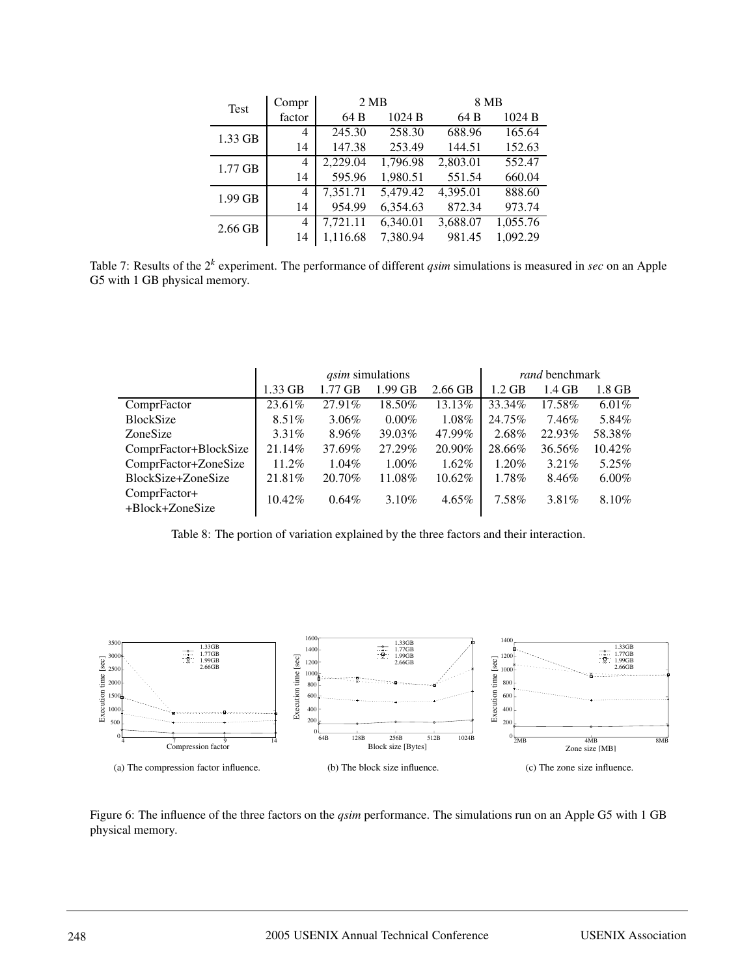| Test    | Compr  | 2MB      |          | 8 MB     |          |  |
|---------|--------|----------|----------|----------|----------|--|
|         | factor | 64 B     | 1024 B   | 64 B     | 1024 B   |  |
| 1.33 GB | 4      | 245.30   | 258.30   | 688.96   | 165.64   |  |
|         | 14     | 147.38   | 253.49   | 144.51   | 152.63   |  |
| 1.77 GB | 4      | 2,229.04 | 1,796.98 | 2,803.01 | 552.47   |  |
|         | 14     | 595.96   | 1,980.51 | 551.54   | 660.04   |  |
| 1.99 GB | 4      | 7,351.71 | 5,479.42 | 4,395.01 | 888.60   |  |
|         | 14     | 954.99   | 6,354.63 | 872.34   | 973.74   |  |
| 2.66 GB | 4      | 7.721.11 | 6,340.01 | 3,688.07 | 1,055.76 |  |
|         | 14     | 1,116.68 | 7,380.94 | 981.45   | 1,092.29 |  |

Table 7: Results of the 2*<sup>k</sup>* experiment. The performance of different *qsim* simulations is measured in *sec* on an Apple G5 with 1 GB physical memory.

|                       | <i>qsim</i> simulations |           |          | <i>rand</i> benchmark |          |          |          |
|-----------------------|-------------------------|-----------|----------|-----------------------|----------|----------|----------|
|                       | $1.33$ GB               | $1.77$ GB | 1.99 GB  | $2.66$ GB             | $1.2$ GB | 1.4 GB   | $1.8$ GB |
| ComprFactor           | 23.61%                  | 27.91%    | 18.50%   | 13.13\%               | 33.34%   | 17.58%   | 6.01%    |
| <b>BlockSize</b>      | 8.51%                   | $3.06\%$  | $0.00\%$ | 1.08%                 | 24.75%   | 7.46%    | 5.84%    |
| ZoneSize              | $3.31\%$                | 8.96%     | 39.03%   | 47.99%                | 2.68%    | 22.93%   | 58.38%   |
| ComprFactor+BlockSize | 21.14%                  | 37.69%    | 27.29%   | 20.90%                | 28.66%   | 36.56%   | 10.42%   |
| ComprFactor+ZoneSize  | $11.2\%$                | $1.04\%$  | $1.00\%$ | $1.62\%$              | $1.20\%$ | $3.21\%$ | 5.25%    |
| BlockSize+ZoneSize    | 21.81%                  | 20.70%    | 11.08%   | 10.62%                | 1.78%    | 8.46%    | $6.00\%$ |
| ComprFactor+          | 10.42%                  | $0.64\%$  | $3.10\%$ | $4.65\%$              | 7.58%    | $3.81\%$ | 8.10%    |
| +Block+ZoneSize       |                         |           |          |                       |          |          |          |

Table 8: The portion of variation explained by the three factors and their interaction.



Figure 6: The influence of the three factors on the *qsim* performance. The simulations run on an Apple G5 with 1 GB physical memory.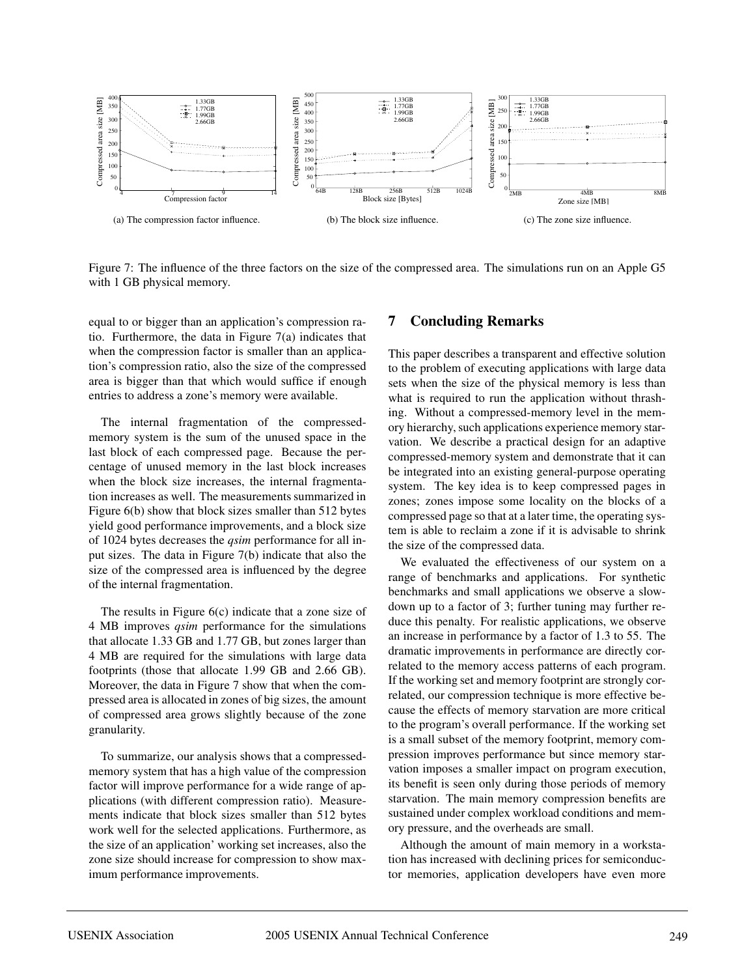

Figure 7: The influence of the three factors on the size of the compressed area. The simulations run on an Apple G5 with 1 GB physical memory.

equal to or bigger than an application's compression ratio. Furthermore, the data in Figure 7(a) indicates that when the compression factor is smaller than an application's compression ratio, also the size of the compressed area is bigger than that which would suffice if enough entries to address a zone's memory were available.

The internal fragmentation of the compressedmemory system is the sum of the unused space in the last block of each compressed page. Because the percentage of unused memory in the last block increases when the block size increases, the internal fragmentation increases as well. The measurements summarized in Figure 6(b) show that block sizes smaller than 512 bytes yield good performance improvements, and a block size of 1024 bytes decreases the *qsim* performance for all input sizes. The data in Figure 7(b) indicate that also the size of the compressed area is influenced by the degree of the internal fragmentation.

The results in Figure 6(c) indicate that a zone size of 4 MB improves *qsim* performance for the simulations that allocate 1.33 GB and 1.77 GB, but zones larger than 4 MB are required for the simulations with large data footprints (those that allocate 1.99 GB and 2.66 GB). Moreover, the data in Figure 7 show that when the compressed area is allocated in zones of big sizes, the amount of compressed area grows slightly because of the zone granularity.

To summarize, our analysis shows that a compressedmemory system that has a high value of the compression factor will improve performance for a wide range of applications (with different compression ratio). Measurements indicate that block sizes smaller than 512 bytes work well for the selected applications. Furthermore, as the size of an application' working set increases, also the zone size should increase for compression to show maximum performance improvements.

#### **7 Concluding Remarks**

This paper describes a transparent and effective solution to the problem of executing applications with large data sets when the size of the physical memory is less than what is required to run the application without thrashing. Without a compressed-memory level in the memory hierarchy, such applications experience memory starvation. We describe a practical design for an adaptive compressed-memory system and demonstrate that it can be integrated into an existing general-purpose operating system. The key idea is to keep compressed pages in zones; zones impose some locality on the blocks of a compressed page so that at a later time, the operating system is able to reclaim a zone if it is advisable to shrink the size of the compressed data.

We evaluated the effectiveness of our system on a range of benchmarks and applications. For synthetic benchmarks and small applications we observe a slowdown up to a factor of 3; further tuning may further reduce this penalty. For realistic applications, we observe an increase in performance by a factor of 1.3 to 55. The dramatic improvements in performance are directly correlated to the memory access patterns of each program. If the working set and memory footprint are strongly correlated, our compression technique is more effective because the effects of memory starvation are more critical to the program's overall performance. If the working set is a small subset of the memory footprint, memory compression improves performance but since memory starvation imposes a smaller impact on program execution, its benefit is seen only during those periods of memory starvation. The main memory compression benefits are sustained under complex workload conditions and memory pressure, and the overheads are small.

Although the amount of main memory in a workstation has increased with declining prices for semiconductor memories, application developers have even more